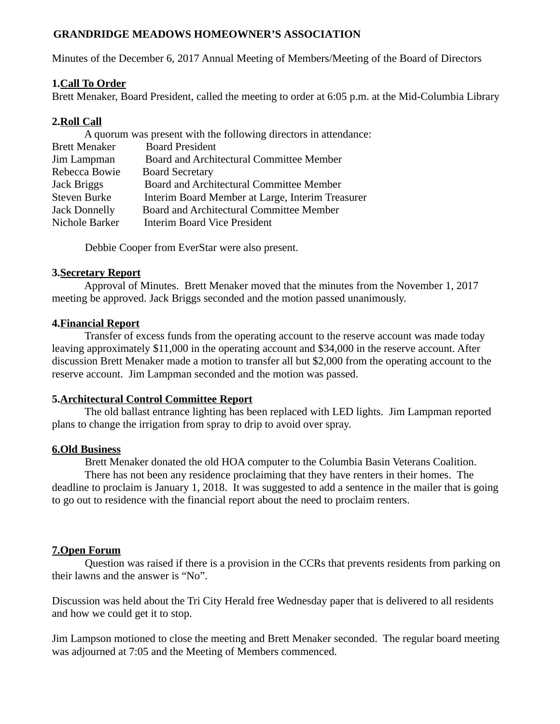### **GRANDRIDGE MEADOWS HOMEOWNER'S ASSOCIATION**

Minutes of the December 6, 2017 Annual Meeting of Members/Meeting of the Board of Directors

## **1.Call To Order**

Brett Menaker, Board President, called the meeting to order at 6:05 p.m. at the Mid-Columbia Library

## **2.Roll Call**

| A quorum was present with the following directors in attendance: |                                                  |
|------------------------------------------------------------------|--------------------------------------------------|
| <b>Brett Menaker</b>                                             | <b>Board President</b>                           |
| Jim Lampman                                                      | Board and Architectural Committee Member         |
| Rebecca Bowie                                                    | <b>Board Secretary</b>                           |
| Jack Briggs                                                      | Board and Architectural Committee Member         |
| Steven Burke                                                     | Interim Board Member at Large, Interim Treasurer |
| <b>Jack Donnelly</b>                                             | Board and Architectural Committee Member         |
| Nichole Barker                                                   | <b>Interim Board Vice President</b>              |

Debbie Cooper from EverStar were also present.

#### **3.Secretary Report**

 Approval of Minutes. Brett Menaker moved that the minutes from the November 1, 2017 meeting be approved. Jack Briggs seconded and the motion passed unanimously.

#### **4.Financial Report**

 Transfer of excess funds from the operating account to the reserve account was made today leaving approximately \$11,000 in the operating account and \$34,000 in the reserve account. After discussion Brett Menaker made a motion to transfer all but \$2,000 from the operating account to the reserve account. Jim Lampman seconded and the motion was passed.

#### **5.Architectural Control Committee Report**

 The old ballast entrance lighting has been replaced with LED lights. Jim Lampman reported plans to change the irrigation from spray to drip to avoid over spray.

#### **6.Old Business**

Brett Menaker donated the old HOA computer to the Columbia Basin Veterans Coalition.

 There has not been any residence proclaiming that they have renters in their homes. The deadline to proclaim is January 1, 2018. It was suggested to add a sentence in the mailer that is going to go out to residence with the financial report about the need to proclaim renters.

# **7.Open Forum**

 Question was raised if there is a provision in the CCRs that prevents residents from parking on their lawns and the answer is "No".

Discussion was held about the Tri City Herald free Wednesday paper that is delivered to all residents and how we could get it to stop.

Jim Lampson motioned to close the meeting and Brett Menaker seconded. The regular board meeting was adjourned at 7:05 and the Meeting of Members commenced.